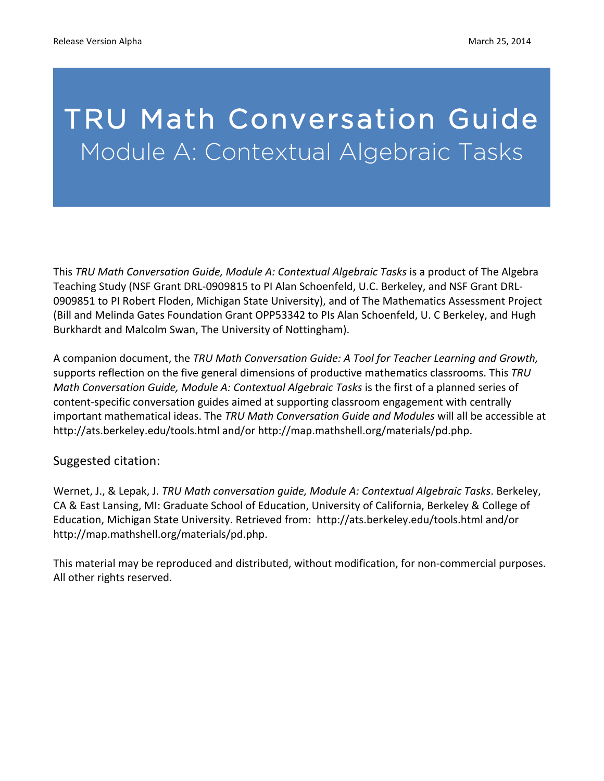# TRU Math Conversation Guide Module A: Contextual Algebraic Tasks

This TRU Math Conversation Guide, Module A: Contextual Algebraic Tasks is a product of The Algebra Teaching Study (NSF Grant DRL-0909815 to PI Alan Schoenfeld, U.C. Berkeley, and NSF Grant DRL-0909851 to PI Robert Floden, Michigan State University), and of The Mathematics Assessment Project (Bill and Melinda Gates Foundation Grant OPP53342 to PIs Alan Schoenfeld, U. C Berkeley, and Hugh Burkhardt and Malcolm Swan, The University of Nottingham).

A companion document, the TRU Math Conversation Guide: A Tool for Teacher Learning and Growth, supports reflection on the five general dimensions of productive mathematics classrooms. This *TRU Math Conversation Guide, Module A: Contextual Algebraic Tasks* is the first of a planned series of content-specific conversation guides aimed at supporting classroom engagement with centrally important mathematical ideas. The *TRU Math Conversation Guide and Modules* will all be accessible at http://ats.berkeley.edu/tools.html and/or http://map.mathshell.org/materials/pd.php.

#### Suggested citation:

Wernet, J., & Lepak, J. *TRU Math conversation guide, Module A: Contextual Algebraic Tasks*. Berkeley, CA & East Lansing, MI: Graduate School of Education, University of California, Berkeley & College of Education, Michigan State University. Retrieved from: http://ats.berkeley.edu/tools.html and/or http://map.mathshell.org/materials/pd.php.

This material may be reproduced and distributed, without modification, for non-commercial purposes. All other rights reserved.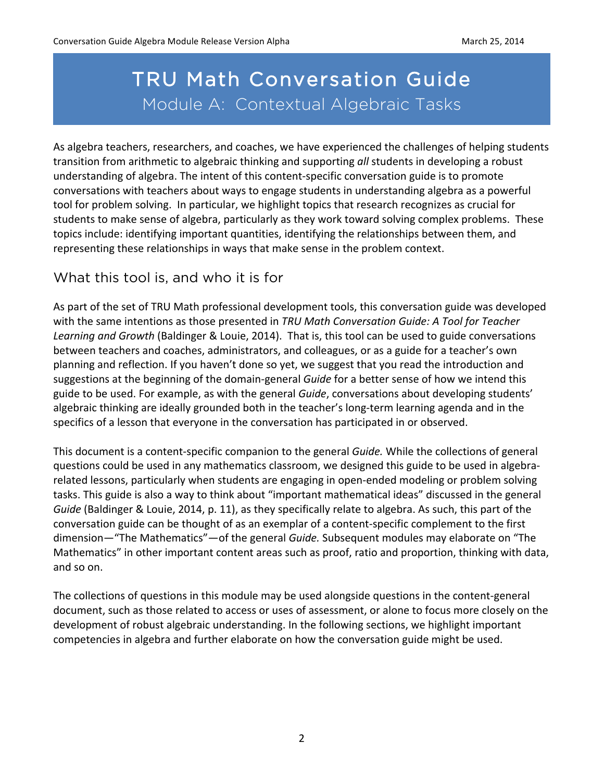# TRU Math Conversation Guide Module A: Contextual Algebraic Tasks

As algebra teachers, researchers, and coaches, we have experienced the challenges of helping students transition from arithmetic to algebraic thinking and supporting all students in developing a robust understanding of algebra. The intent of this content-specific conversation guide is to promote conversations with teachers about ways to engage students in understanding algebra as a powerful tool for problem solving. In particular, we highlight topics that research recognizes as crucial for students to make sense of algebra, particularly as they work toward solving complex problems. These topics include: identifying important quantities, identifying the relationships between them, and representing these relationships in ways that make sense in the problem context.

### What this tool is, and who it is for

As part of the set of TRU Math professional development tools, this conversation guide was developed with the same intentions as those presented in *TRU Math Conversation Guide:* A Tool for Teacher Learning and Growth (Baldinger & Louie, 2014). That is, this tool can be used to guide conversations between teachers and coaches, administrators, and colleagues, or as a guide for a teacher's own planning and reflection. If you haven't done so yet, we suggest that you read the introduction and suggestions at the beginning of the domain-general *Guide* for a better sense of how we intend this guide to be used. For example, as with the general *Guide*, conversations about developing students' algebraic thinking are ideally grounded both in the teacher's long-term learning agenda and in the specifics of a lesson that everyone in the conversation has participated in or observed.

This document is a content-specific companion to the general *Guide*. While the collections of general questions could be used in any mathematics classroom, we designed this guide to be used in algebrarelated lessons, particularly when students are engaging in open-ended modeling or problem solving tasks. This guide is also a way to think about "important mathematical ideas" discussed in the general *Guide* (Baldinger & Louie, 2014, p. 11), as they specifically relate to algebra. As such, this part of the conversation guide can be thought of as an exemplar of a content-specific complement to the first dimension—"The Mathematics"—of the general *Guide*. Subsequent modules may elaborate on "The Mathematics" in other important content areas such as proof, ratio and proportion, thinking with data, and so on.

The collections of questions in this module may be used alongside questions in the content-general document, such as those related to access or uses of assessment, or alone to focus more closely on the development of robust algebraic understanding. In the following sections, we highlight important competencies in algebra and further elaborate on how the conversation guide might be used.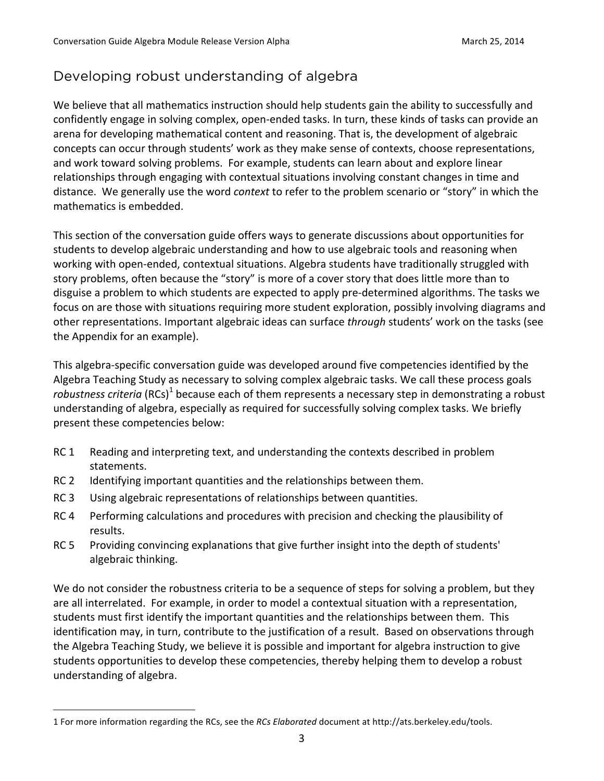### Developing robust understanding of algebra

We believe that all mathematics instruction should help students gain the ability to successfully and confidently engage in solving complex, open-ended tasks. In turn, these kinds of tasks can provide an arena for developing mathematical content and reasoning. That is, the development of algebraic concepts can occur through students' work as they make sense of contexts, choose representations, and work toward solving problems. For example, students can learn about and explore linear relationships through engaging with contextual situations involving constant changes in time and distance. We generally use the word *context* to refer to the problem scenario or "story" in which the mathematics is embedded.

This section of the conversation guide offers ways to generate discussions about opportunities for students to develop algebraic understanding and how to use algebraic tools and reasoning when working with open-ended, contextual situations. Algebra students have traditionally struggled with story problems, often because the "story" is more of a cover story that does little more than to disguise a problem to which students are expected to apply pre-determined algorithms. The tasks we focus on are those with situations requiring more student exploration, possibly involving diagrams and other representations. Important algebraic ideas can surface *through* students' work on the tasks (see the Appendix for an example).

This algebra-specific conversation guide was developed around five competencies identified by the Algebra Teaching Study as necessary to solving complex algebraic tasks. We call these process goals *robustness criteria* (RCs)<sup>1</sup> because each of them represents a necessary step in demonstrating a robust understanding of algebra, especially as required for successfully solving complex tasks. We briefly present these competencies below:

- RC 1 Reading and interpreting text, and understanding the contexts described in problem statements.
- RC 2 Identifying important quantities and the relationships between them.
- RC 3 Using algebraic representations of relationships between quantities.
- RC 4 Performing calculations and procedures with precision and checking the plausibility of results.
- RC 5 Providing convincing explanations that give further insight into the depth of students' algebraic thinking.

We do not consider the robustness criteria to be a sequence of steps for solving a problem, but they are all interrelated. For example, in order to model a contextual situation with a representation, students must first identify the important quantities and the relationships between them. This identification may, in turn, contribute to the justification of a result. Based on observations through the Algebra Teaching Study, we believe it is possible and important for algebra instruction to give students opportunities to develop these competencies, thereby helping them to develop a robust understanding of algebra.

 

<sup>1</sup> For more information regarding the RCs, see the *RCs Elaborated* document at http://ats.berkeley.edu/tools.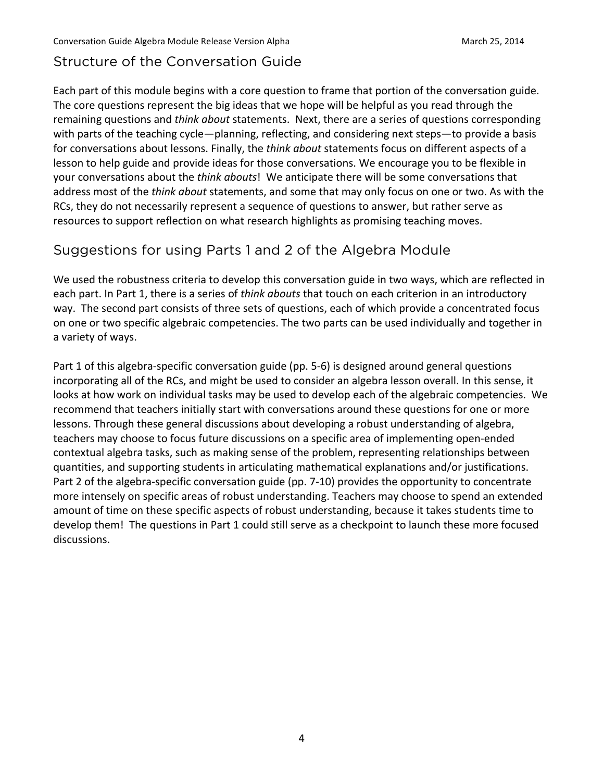### Structure of the Conversation Guide

Each part of this module begins with a core question to frame that portion of the conversation guide. The core questions represent the big ideas that we hope will be helpful as you read through the remaining questions and *think about* statements. Next, there are a series of questions corresponding with parts of the teaching cycle—planning, reflecting, and considering next steps—to provide a basis for conversations about lessons. Finally, the *think about* statements focus on different aspects of a lesson to help guide and provide ideas for those conversations. We encourage you to be flexible in your conversations about the *think abouts*! We anticipate there will be some conversations that address most of the *think about* statements, and some that may only focus on one or two. As with the RCs, they do not necessarily represent a sequence of questions to answer, but rather serve as resources to support reflection on what research highlights as promising teaching moves.

### Suggestions for using Parts 1 and 2 of the Algebra Module

We used the robustness criteria to develop this conversation guide in two ways, which are reflected in each part. In Part 1, there is a series of *think abouts* that touch on each criterion in an introductory way. The second part consists of three sets of questions, each of which provide a concentrated focus on one or two specific algebraic competencies. The two parts can be used individually and together in a variety of ways.

Part 1 of this algebra-specific conversation guide (pp. 5-6) is designed around general questions incorporating all of the RCs, and might be used to consider an algebra lesson overall. In this sense, it looks at how work on individual tasks may be used to develop each of the algebraic competencies. We recommend that teachers initially start with conversations around these questions for one or more lessons. Through these general discussions about developing a robust understanding of algebra, teachers may choose to focus future discussions on a specific area of implementing open-ended contextual algebra tasks, such as making sense of the problem, representing relationships between quantities, and supporting students in articulating mathematical explanations and/or justifications. Part 2 of the algebra-specific conversation guide (pp. 7-10) provides the opportunity to concentrate more intensely on specific areas of robust understanding. Teachers may choose to spend an extended amount of time on these specific aspects of robust understanding, because it takes students time to develop them! The questions in Part 1 could still serve as a checkpoint to launch these more focused discussions.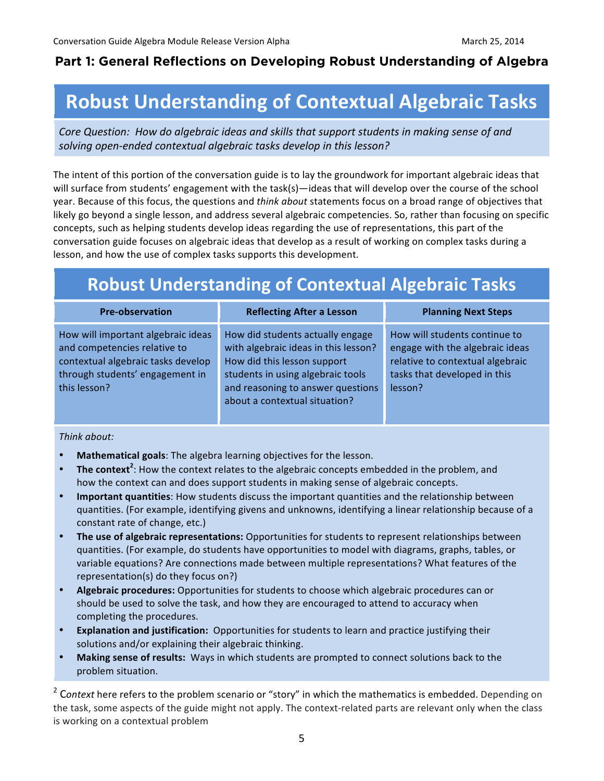### **Part 1: General Reflections on Developing Robust Understanding of Algebra**

# **Robust Understanding of Contextual Algebraic Tasks**

Core Question: How do algebraic ideas and skills that support students in making sense of and solving open-ended contextual algebraic tasks develop in this lesson?

The intent of this portion of the conversation guide is to lay the groundwork for important algebraic ideas that will surface from students' engagement with the task(s)—ideas that will develop over the course of the school year. Because of this focus, the questions and *think about* statements focus on a broad range of objectives that likely go beyond a single lesson, and address several algebraic competencies. So, rather than focusing on specific concepts, such as helping students develop ideas regarding the use of representations, this part of the conversation guide focuses on algebraic ideas that develop as a result of working on complex tasks during a lesson, and how the use of complex tasks supports this development.

# **Robust Understanding of Contextual Algebraic Tasks**

| <b>Pre-observation</b>                                                                                                                                      | <b>Reflecting After a Lesson</b>                                                                                                                                                                                   | <b>Planning Next Steps</b>                                                                                                                      |
|-------------------------------------------------------------------------------------------------------------------------------------------------------------|--------------------------------------------------------------------------------------------------------------------------------------------------------------------------------------------------------------------|-------------------------------------------------------------------------------------------------------------------------------------------------|
| How will important algebraic ideas<br>and competencies relative to<br>contextual algebraic tasks develop<br>through students' engagement in<br>this lesson? | How did students actually engage<br>with algebraic ideas in this lesson?<br>How did this lesson support<br>students in using algebraic tools<br>and reasoning to answer questions<br>about a contextual situation? | How will students continue to<br>engage with the algebraic ideas<br>relative to contextual algebraic<br>tasks that developed in this<br>lesson? |

*Think about:*

- Mathematical goals: The algebra learning objectives for the lesson.
- The context<sup>2</sup>: How the context relates to the algebraic concepts embedded in the problem, and how the context can and does support students in making sense of algebraic concepts.
- **Important quantities**: How students discuss the important quantities and the relationship between quantities. (For example, identifying givens and unknowns, identifying a linear relationship because of a constant rate of change, etc.)
- The use of algebraic representations: Opportunities for students to represent relationships between quantities. (For example, do students have opportunities to model with diagrams, graphs, tables, or variable equations? Are connections made between multiple representations? What features of the representation(s) do they focus on?)
- **Algebraic procedures:** Opportunities for students to choose which algebraic procedures can or should be used to solve the task, and how they are encouraged to attend to accuracy when completing the procedures.
- **Explanation and justification:** Opportunities for students to learn and practice justifying their solutions and/or explaining their algebraic thinking.
- the control of the control of the control of • Making sense of results: Ways in which students are prompted to connect solutions back to the problem situation.

<sup>2</sup> Context here refers to the problem scenario or "story" in which the mathematics is embedded. Depending on the task, some aspects of the guide might not apply. The context-related parts are relevant only when the class is working on a contextual problem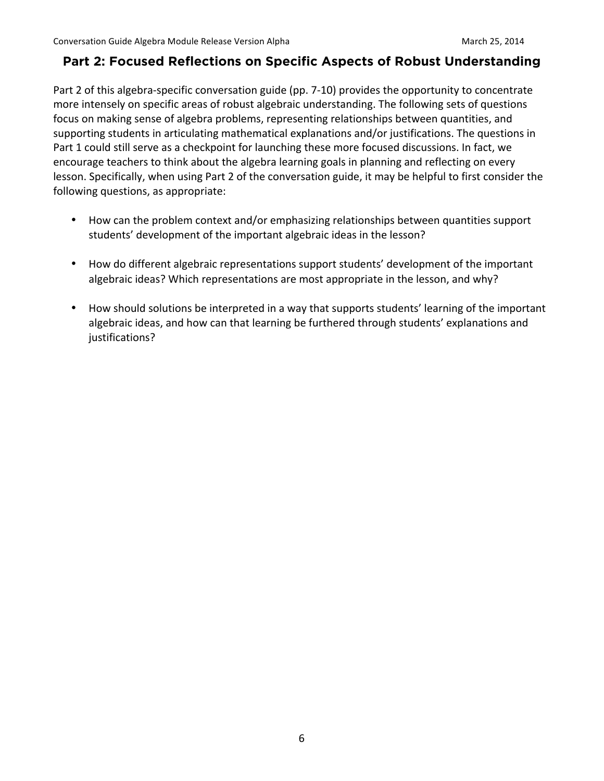#### **Part 2: Focused Reflections on Specific Aspects of Robust Understanding**

Part 2 of this algebra-specific conversation guide (pp. 7-10) provides the opportunity to concentrate more intensely on specific areas of robust algebraic understanding. The following sets of questions focus on making sense of algebra problems, representing relationships between quantities, and supporting students in articulating mathematical explanations and/or justifications. The questions in Part 1 could still serve as a checkpoint for launching these more focused discussions. In fact, we encourage teachers to think about the algebra learning goals in planning and reflecting on every lesson. Specifically, when using Part 2 of the conversation guide, it may be helpful to first consider the following questions, as appropriate:

- How can the problem context and/or emphasizing relationships between quantities support students' development of the important algebraic ideas in the lesson?
- How do different algebraic representations support students' development of the important algebraic ideas? Which representations are most appropriate in the lesson, and why?
- How should solutions be interpreted in a way that supports students' learning of the important algebraic ideas, and how can that learning be furthered through students' explanations and justifications?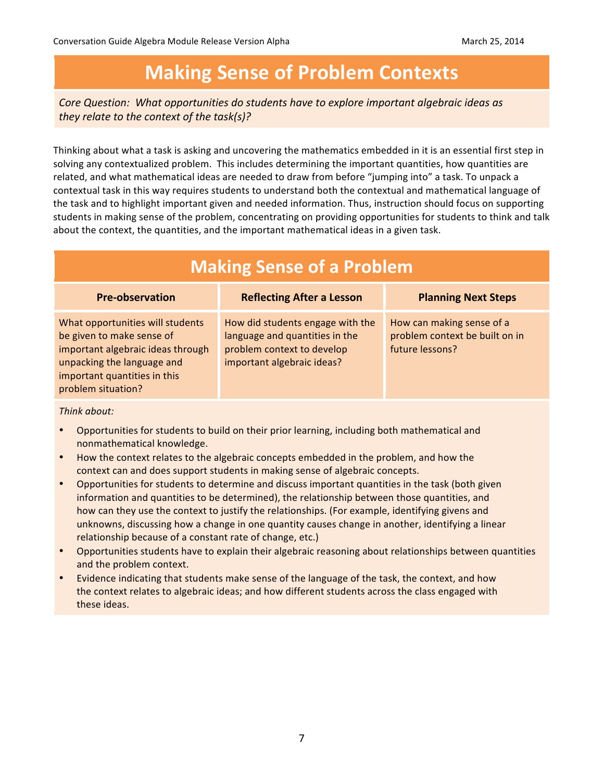# **Making Sense of Problem Contexts**

*Core Question:* What opportunities do students have to explore *important algebraic ideas* as *they relate to the context of the task(s)?* 

Thinking about what a task is asking and uncovering the mathematics embedded in it is an essential first step in solving any contextualized problem. This includes determining the important quantities, how quantities are related, and what mathematical ideas are needed to draw from before "jumping into" a task. To unpack a contextual task in this way requires students to understand both the contextual and mathematical language of the task and to highlight important given and needed information. Thus, instruction should focus on supporting students in making sense of the problem, concentrating on providing opportunities for students to think and talk about the context, the quantities, and the important mathematical ideas in a given task.

| <b>Making Sense of a Problem</b>                                                                                                                                                       |                                                                                                                                |                                                                                |  |  |
|----------------------------------------------------------------------------------------------------------------------------------------------------------------------------------------|--------------------------------------------------------------------------------------------------------------------------------|--------------------------------------------------------------------------------|--|--|
| <b>Pre-observation</b>                                                                                                                                                                 | <b>Reflecting After a Lesson</b>                                                                                               | <b>Planning Next Steps</b>                                                     |  |  |
| What opportunities will students<br>be given to make sense of<br>important algebraic ideas through<br>unpacking the language and<br>important quantities in this<br>problem situation? | How did students engage with the<br>language and quantities in the<br>problem context to develop<br>important algebraic ideas? | How can making sense of a<br>problem context be built on in<br>future lessons? |  |  |

*Think about:*

- Opportunities for students to build on their prior learning, including both mathematical and nonmathematical knowledge.
- How the context relates to the algebraic concepts embedded in the problem, and how the context can and does support students in making sense of algebraic concepts.
- Opportunities for students to determine and discuss important quantities in the task (both given information and quantities to be determined), the relationship between those quantities, and how can they use the context to justify the relationships. (For example, identifying givens and unknowns, discussing how a change in one quantity causes change in another, identifying a linear relationship because of a constant rate of change, etc.)
- Opportunities students have to explain their algebraic reasoning about relationships between quantities and the problem context.
- Evidence indicating that students make sense of the language of the task, the context, and how the context relates to algebraic ideas; and how different students across the class engaged with these ideas.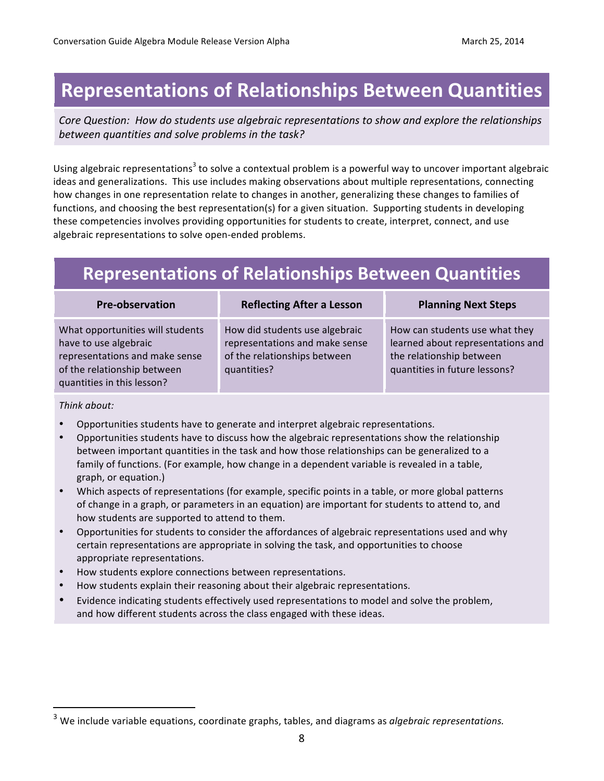# **Representations of Relationships Between Quantities**

Core Question: How do students use algebraic representations to show and explore the relationships *between quantities and solve problems in the task?*

Using algebraic representations<sup>3</sup> to solve a contextual problem is a powerful way to uncover important algebraic ideas and generalizations. This use includes making observations about multiple representations, connecting how changes in one representation relate to changes in another, generalizing these changes to families of functions, and choosing the best representation(s) for a given situation. Supporting students in developing these competencies involves providing opportunities for students to create, interpret, connect, and use algebraic representations to solve open-ended problems.

## **Representations of Relationships Between Quantities**

| <b>Pre-observation</b>                                                                                                                                   | <b>Reflecting After a Lesson</b>                                                                                | <b>Planning Next Steps</b>                                                                                                       |
|----------------------------------------------------------------------------------------------------------------------------------------------------------|-----------------------------------------------------------------------------------------------------------------|----------------------------------------------------------------------------------------------------------------------------------|
| What opportunities will students<br>have to use algebraic<br>representations and make sense<br>of the relationship between<br>quantities in this lesson? | How did students use algebraic<br>representations and make sense<br>of the relationships between<br>quantities? | How can students use what they<br>learned about representations and<br>the relationship between<br>quantities in future lessons? |

*Think about:*

 

- Opportunities students have to generate and interpret algebraic representations.
- Opportunities students have to discuss how the algebraic representations show the relationship between important quantities in the task and how those relationships can be generalized to a family of functions. (For example, how change in a dependent variable is revealed in a table, graph, or equation.)
- Which aspects of representations (for example, specific points in a table, or more global patterns of change in a graph, or parameters in an equation) are important for students to attend to, and how students are supported to attend to them.
- Opportunities for students to consider the affordances of algebraic representations used and why certain representations are appropriate in solving the task, and opportunities to choose appropriate representations.
- How students explore connections between representations.
- How students explain their reasoning about their algebraic representations.
- Evidence indicating students effectively used representations to model and solve the problem, and how different students across the class engaged with these ideas.

 $3$  We include variable equations, coordinate graphs, tables, and diagrams as *algebraic representations.*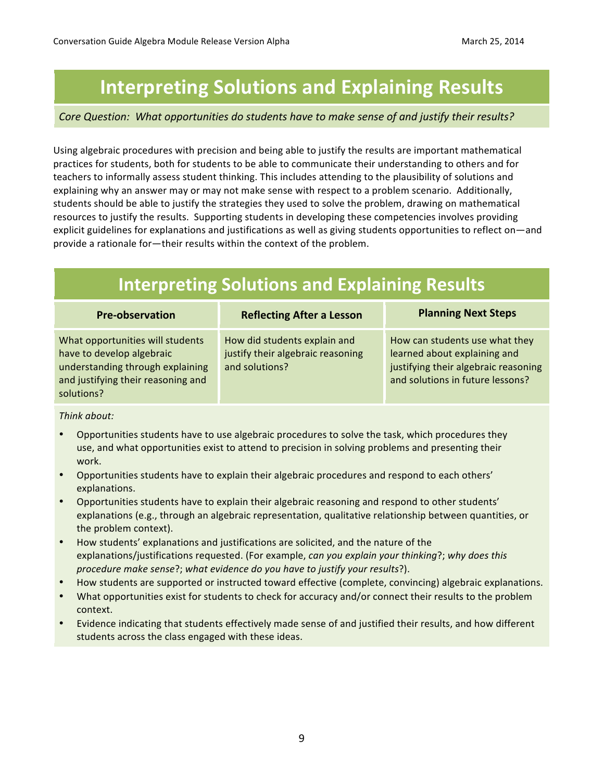# **Interpreting Solutions and Explaining Results**

#### Core Question: What opportunities do students have to make sense of and justify their results?

Using algebraic procedures with precision and being able to justify the results are important mathematical practices for students, both for students to be able to communicate their understanding to others and for teachers to informally assess student thinking. This includes attending to the plausibility of solutions and explaining why an answer may or may not make sense with respect to a problem scenario. Additionally, students should be able to justify the strategies they used to solve the problem, drawing on mathematical resources to justify the results. Supporting students in developing these competencies involves providing explicit guidelines for explanations and justifications as well as giving students opportunities to reflect on—and provide a rationale for-their results within the context of the problem.

| <b>Interpreting Solutions and Explaining Results</b>                                                                                                  |                                                                                     |                                                                                                                                            |  |  |
|-------------------------------------------------------------------------------------------------------------------------------------------------------|-------------------------------------------------------------------------------------|--------------------------------------------------------------------------------------------------------------------------------------------|--|--|
| <b>Pre-observation</b>                                                                                                                                | <b>Reflecting After a Lesson</b>                                                    | <b>Planning Next Steps</b>                                                                                                                 |  |  |
| What opportunities will students<br>have to develop algebraic<br>understanding through explaining<br>and justifying their reasoning and<br>solutions? | How did students explain and<br>justify their algebraic reasoning<br>and solutions? | How can students use what they<br>learned about explaining and<br>justifying their algebraic reasoning<br>and solutions in future lessons? |  |  |

#### *Think about:*

- Opportunities students have to use algebraic procedures to solve the task, which procedures they use, and what opportunities exist to attend to precision in solving problems and presenting their work.
- Opportunities students have to explain their algebraic procedures and respond to each others' explanations.
- Opportunities students have to explain their algebraic reasoning and respond to other students' explanations (e.g., through an algebraic representation, qualitative relationship between quantities, or the problem context).
- How students' explanations and justifications are solicited, and the nature of the explanations/justifications requested. (For example, *can you explain your thinking?;* why does this *procedure make sense?;* what evidence do you have to justify your results?).
- How students are supported or instructed toward effective (complete, convincing) algebraic explanations.
- What opportunities exist for students to check for accuracy and/or connect their results to the problem context.
- Evidence indicating that students effectively made sense of and justified their results, and how different students across the class engaged with these ideas.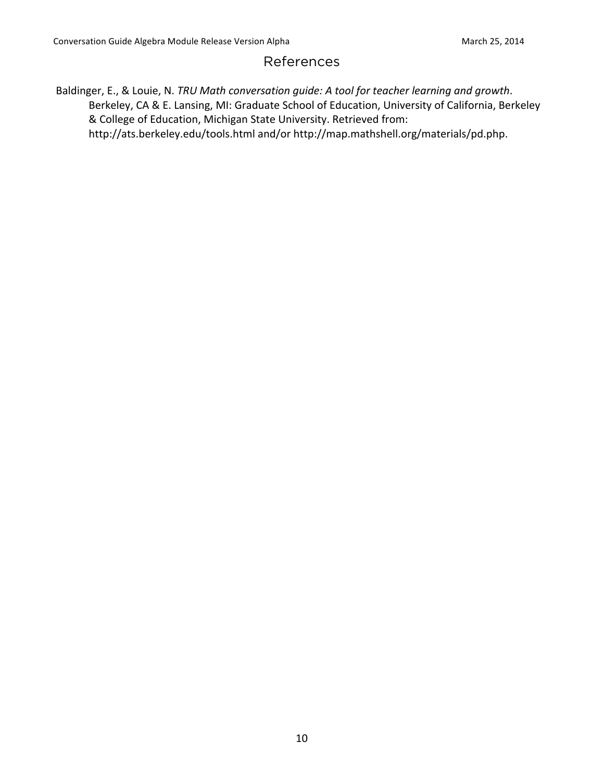#### References

Baldinger, E., & Louie, N. *TRU Math conversation guide: A tool for teacher learning and growth*. Berkeley, CA & E. Lansing, MI: Graduate School of Education, University of California, Berkeley & College of Education, Michigan State University. Retrieved from: http://ats.berkeley.edu/tools.html and/or http://map.mathshell.org/materials/pd.php.